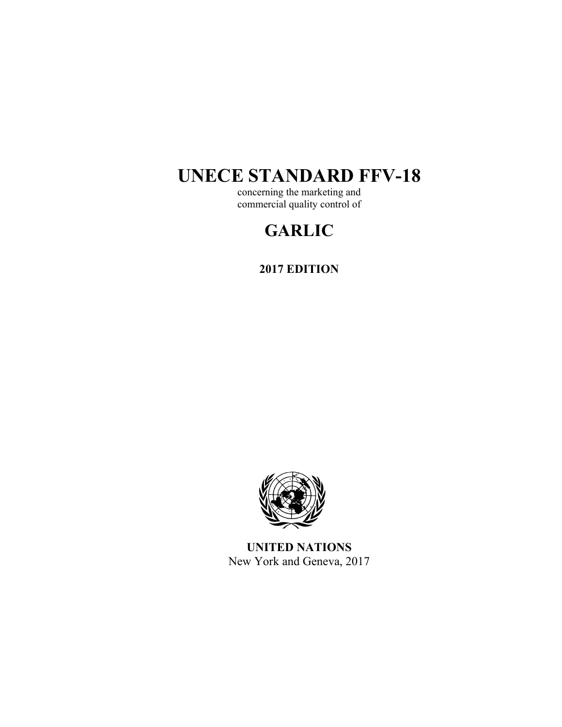# **UNECE STANDARD FFV-18**

concerning the marketing and commercial quality control of

## **GARLIC**

**2017 EDITION** 



**UNITED NATIONS**  New York and Geneva, 2017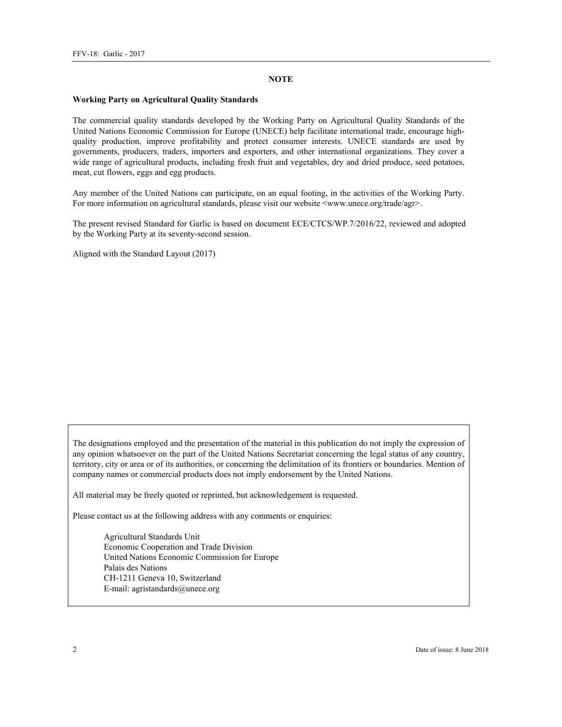#### **NOTE**

#### **Working Party on Agricultural Quality Standards**

The commercial quality standards developed by the Working Party on Agricultural Quality Standards of the United Nations Economic Commission for Europe (UNECE) help facilitate international trade, encourage highquality production, improve profitability and protect consumer interests. UNECE standards are used by governments, producers, traders, importers and exporters, and other international organizations. They cover a wide range of agricultural products, including fresh fruit and vegetables, dry and dried produce, seed potatoes, meat, cut flowers, eggs and egg products.

Any member of the United Nations can participate, on an equal footing, in the activities of the Working Party. For more information on agricultural standards, please visit our website <www.unece.org/trade/agr>.

The present revised Standard for Garlic is based on document ECE/CTCS/WP.7/2016/22, reviewed and adopted by the Working Party at its seventy-second session.

Aligned with the Standard Layout (2017)

The designations employed and the presentation of the material in this publication do not imply the expression of any opinion whatsoever on the part of the United Nations Secretariat concerning the legal status of any country, territory, city or area or of its authorities, or concerning the delimitation of its frontiers or boundaries. Mention of company names or commercial products does not imply endorsement by the United Nations.

All material may be freely quoted or reprinted, but acknowledgement is requested.

Please contact us at the following address with any comments or enquiries:

Agricultural Standards Unit Economic Cooperation and Trade Division United Nations Economic Commission for Europe Palais des Nations CH-1211 Geneva 10, Switzerland E-mail: agristandards@unece.org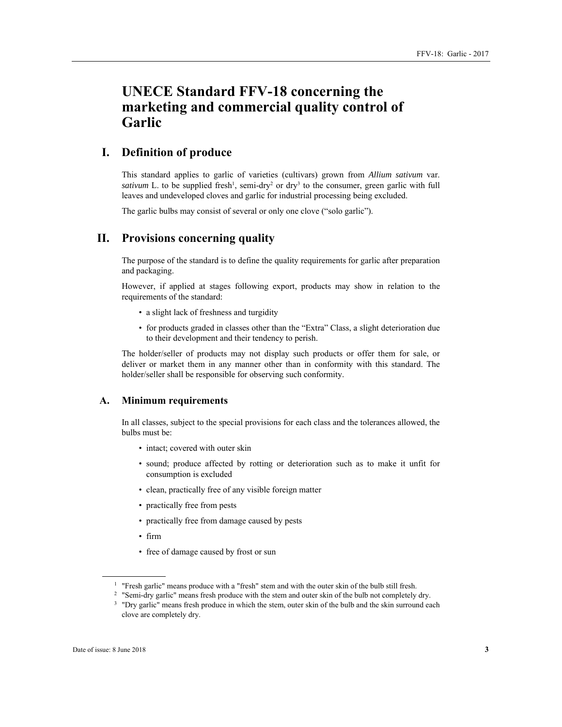## **UNECE Standard FFV-18 concerning the marketing and commercial quality control of Garlic**

## **I. Definition of produce**

This standard applies to garlic of varieties (cultivars) grown from *Allium sativum* var. *sativum* L. to be supplied fresh<sup>1</sup>, semi-dry<sup>2</sup> or dry<sup>3</sup> to the consumer, green garlic with full leaves and undeveloped cloves and garlic for industrial processing being excluded.

The garlic bulbs may consist of several or only one clove ("solo garlic").

## **II. Provisions concerning quality**

The purpose of the standard is to define the quality requirements for garlic after preparation and packaging.

However, if applied at stages following export, products may show in relation to the requirements of the standard:

- a slight lack of freshness and turgidity
- for products graded in classes other than the "Extra" Class, a slight deterioration due to their development and their tendency to perish.

The holder/seller of products may not display such products or offer them for sale, or deliver or market them in any manner other than in conformity with this standard. The holder/seller shall be responsible for observing such conformity.

#### **A. Minimum requirements**

In all classes, subject to the special provisions for each class and the tolerances allowed, the bulbs must be:

- intact; covered with outer skin
- sound; produce affected by rotting or deterioration such as to make it unfit for consumption is excluded
- clean, practically free of any visible foreign matter
- practically free from pests
- practically free from damage caused by pests
- firm
- free of damage caused by frost or sun

<sup>1</sup> "Fresh garlic" means produce with a "fresh" stem and with the outer skin of the bulb still fresh.<br><sup>2</sup> "Semi-dry garlic" means fresh produce with the stem and outer skin of the bulb not completely dry.<br><sup>3</sup> "Dry garlic"

 $\overline{a}$ 

clove are completely dry.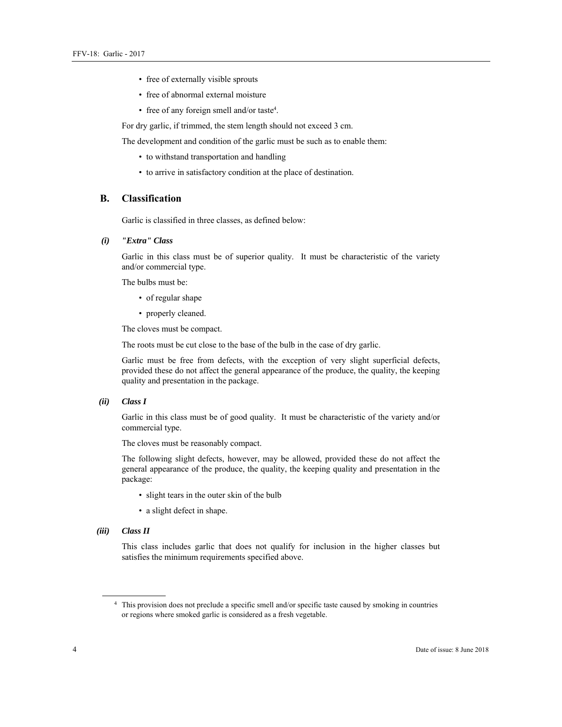- free of externally visible sprouts
- free of abnormal external moisture
- free of any foreign smell and/or taste4 .

For dry garlic, if trimmed, the stem length should not exceed 3 cm.

The development and condition of the garlic must be such as to enable them:

- to withstand transportation and handling
- to arrive in satisfactory condition at the place of destination.

#### **B. Classification**

Garlic is classified in three classes, as defined below:

 *(i) "Extra" Class* 

Garlic in this class must be of superior quality. It must be characteristic of the variety and/or commercial type.

The bulbs must be:

- of regular shape
- properly cleaned.

The cloves must be compact.

The roots must be cut close to the base of the bulb in the case of dry garlic.

Garlic must be free from defects, with the exception of very slight superficial defects, provided these do not affect the general appearance of the produce, the quality, the keeping quality and presentation in the package.

#### *(ii) Class I*

Garlic in this class must be of good quality. It must be characteristic of the variety and/or commercial type.

The cloves must be reasonably compact.

The following slight defects, however, may be allowed, provided these do not affect the general appearance of the produce, the quality, the keeping quality and presentation in the package:

- slight tears in the outer skin of the bulb
- a slight defect in shape.

#### *(iii) Class II*

 $\overline{a}$ 

This class includes garlic that does not qualify for inclusion in the higher classes but satisfies the minimum requirements specified above.

<sup>4</sup> This provision does not preclude a specific smell and/or specific taste caused by smoking in countries or regions where smoked garlic is considered as a fresh vegetable.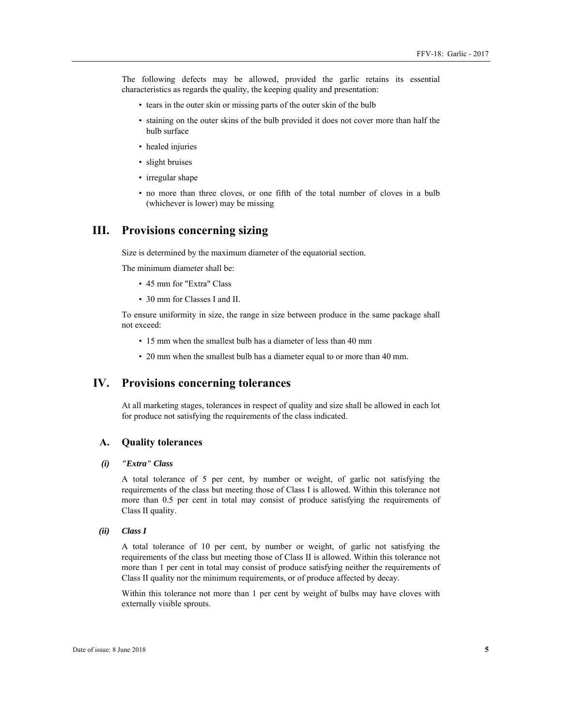The following defects may be allowed, provided the garlic retains its essential characteristics as regards the quality, the keeping quality and presentation:

- tears in the outer skin or missing parts of the outer skin of the bulb
- staining on the outer skins of the bulb provided it does not cover more than half the bulb surface
- healed injuries
- slight bruises
- irregular shape
- no more than three cloves, or one fifth of the total number of cloves in a bulb (whichever is lower) may be missing

### **III. Provisions concerning sizing**

Size is determined by the maximum diameter of the equatorial section.

The minimum diameter shall be:

- 45 mm for "Extra" Class
- 30 mm for Classes I and II.

To ensure uniformity in size, the range in size between produce in the same package shall not exceed:

- 15 mm when the smallest bulb has a diameter of less than 40 mm
- 20 mm when the smallest bulb has a diameter equal to or more than 40 mm.

## **IV. Provisions concerning tolerances**

At all marketing stages, tolerances in respect of quality and size shall be allowed in each lot for produce not satisfying the requirements of the class indicated.

#### **A. Quality tolerances**

#### *(i) "Extra" Class*

A total tolerance of 5 per cent, by number or weight, of garlic not satisfying the requirements of the class but meeting those of Class I is allowed. Within this tolerance not more than 0.5 per cent in total may consist of produce satisfying the requirements of Class II quality.

#### *(ii) Class I*

A total tolerance of 10 per cent, by number or weight, of garlic not satisfying the requirements of the class but meeting those of Class II is allowed. Within this tolerance not more than 1 per cent in total may consist of produce satisfying neither the requirements of Class II quality nor the minimum requirements, or of produce affected by decay.

Within this tolerance not more than 1 per cent by weight of bulbs may have cloves with externally visible sprouts.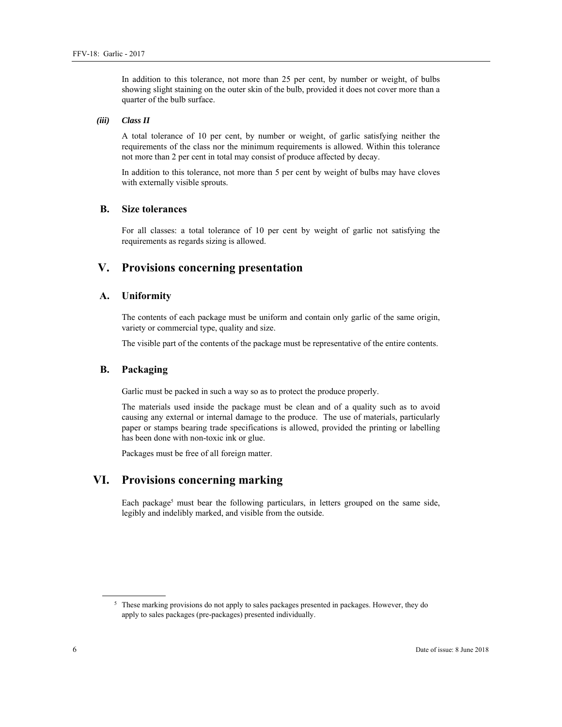In addition to this tolerance, not more than 25 per cent, by number or weight, of bulbs showing slight staining on the outer skin of the bulb, provided it does not cover more than a quarter of the bulb surface.

#### *(iii) Class II*

A total tolerance of 10 per cent, by number or weight, of garlic satisfying neither the requirements of the class nor the minimum requirements is allowed. Within this tolerance not more than 2 per cent in total may consist of produce affected by decay.

In addition to this tolerance, not more than 5 per cent by weight of bulbs may have cloves with externally visible sprouts.

#### **B. Size tolerances**

For all classes: a total tolerance of 10 per cent by weight of garlic not satisfying the requirements as regards sizing is allowed.

## **V. Provisions concerning presentation**

#### **A. Uniformity**

The contents of each package must be uniform and contain only garlic of the same origin, variety or commercial type, quality and size.

The visible part of the contents of the package must be representative of the entire contents.

#### **B. Packaging**

Garlic must be packed in such a way so as to protect the produce properly.

The materials used inside the package must be clean and of a quality such as to avoid causing any external or internal damage to the produce. The use of materials, particularly paper or stamps bearing trade specifications is allowed, provided the printing or labelling has been done with non-toxic ink or glue.

Packages must be free of all foreign matter.

## **VI. Provisions concerning marking**

Each package<sup>5</sup> must bear the following particulars, in letters grouped on the same side, legibly and indelibly marked, and visible from the outside.

 $\overline{a}$ 

<sup>&</sup>lt;sup>5</sup> These marking provisions do not apply to sales packages presented in packages. However, they do apply to sales packages (pre-packages) presented individually.